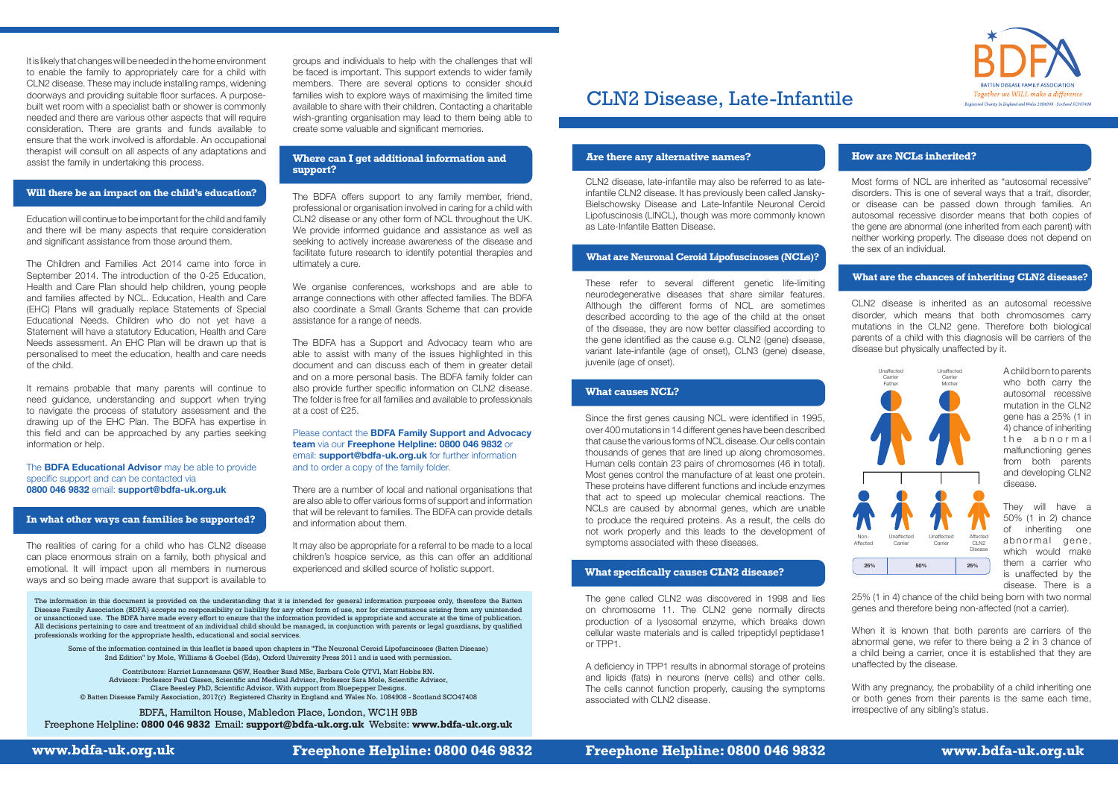**www.bdfa-uk.org.uk Freephone Helpline: 0800 046 9832 Freephone Helpline: 0800 046 9832 www.bdfa-uk.org.uk**



### **Are there any alternative names?**

CLN2 disease, late-infantile may also be referred to as lateinfantile CLN2 disease. It has previously been called Jansky-Bielschowsky Disease and Late-Infantile Neuronal Ceroid Lipofuscinosis (LINCL), though was more commonly known as Late-Infantile Batten Disease.

These refer to several different genetic life-limiting neurodegenerative diseases that share similar features. Although the different forms of NCL are sometimes described according to the age of the child at the onset of the disease, they are now better classified according to the gene identified as the cause e.g. CLN2 (gene) disease, variant late-infantile (age of onset), CLN3 (gene) disease, juvenile (age of onset).

Since the first genes causing NCL were identified in 1995, over 400 mutations in 14 different genes have been described that cause the various forms of NCL disease. Our cells contain thousands of genes that are lined up along chromosomes. Human cells contain 23 pairs of chromosomes (46 in total). Most genes control the manufacture of at least one protein. These proteins have different functions and include enzymes that act to speed up molecular chemical reactions. The NCLs are caused by abnormal genes, which are unable to produce the required proteins. As a result, the cells do not work properly and this leads to the development of symptoms associated with these diseases.

The gene called CLN2 was discovered in 1998 and lies on chromosome 11. The CLN2 gene normally directs production of a lysosomal enzyme, which breaks down cellular waste materials and is called tripeptidyl peptidase1 or TPP1.

> With any pregnancy, the probability of a child inheriting one or both genes from their parents is the same each time, irrespective of any sibling's status.

A deficiency in TPP1 results in abnormal storage of proteins and lipids (fats) in neurons (nerve cells) and other cells. The cells cannot function properly, causing the symptoms associated with CLN2 disease.

Most forms of NCL are inherited as "autosomal recessive" disorders. This is one of several ways that a trait, disorder, or disease can be passed down through families. An autosomal recessive disorder means that both copies of the gene are abnormal (one inherited from each parent) with neither working properly. The disease does not depend on the sex of an individual.

CLN2 disease is inherited as an autosomal recessive disorder, which means that both chromosomes carry mutations in the CLN2 gene. Therefore both biological parents of a child with this diagnosis will be carriers of the disease but physically unaffected by it.

> A child born to parents who both carry the autosomal recessive mutation in the CLN2 gene has a 25% (1 in 4) chance of inheriting the abnormal malfunctioning genes from both parents and developing CLN2 disease.

> They will have a 50% (1 in 2) chance of inheriting one abnormal gene, which would make them a carrier who is unaffected by the disease. There is a

25% (1 in 4) chance of the child being born with two normal genes and therefore being non-affected (not a carrier).

When it is known that both parents are carriers of the abnormal gene, we refer to there being a 2 in 3 chance of a child being a carrier, once it is established that they are unaffected by the disease.

### **What are the chances of inheriting CLN2 disease?**



groups and individuals to help with the challenges that will be faced is important. This support extends to wider family members. There are several options to consider should families wish to explore ways of maximising the limited time available to share with their children. Contacting a charitable wish-granting organisation may lead to them being able to create some valuable and significant memories.

The BDFA offers support to any family member, friend, professional or organisation involved in caring for a child with CLN2 disease or any other form of NCL throughout the UK. We provide informed guidance and assistance as well as seeking to actively increase awareness of the disease and facilitate future research to identify potential therapies and ultimately a cure.

We organise conferences, workshops and are able to arrange connections with other affected families. The BDFA also coordinate a Small Grants Scheme that can provide assistance for a range of needs.

The BDFA has a Support and Advocacy team who are able to assist with many of the issues highlighted in this document and can discuss each of them in greater detail and on a more personal basis. The BDFA family folder can also provide further specific information on CLN2 disease. The folder is free for all families and available to professionals at a cost of £25.

#### Please contact the **BDFA Family Support and Advocacy team** via our **Freephone Helpline: 0800 046 9832** or email: **support@bdfa-uk.org.uk** for further information and to order a copy of the family folder.

There are a number of local and national organisations that are also able to offer various forms of support and information that will be relevant to families. The BDFA can provide details and information about them.

It may also be appropriate for a referral to be made to a local children's hospice service, as this can offer an additional experienced and skilled source of holistic support.

## **How are NCLs inherited?**

It is likely that changes will be needed in the home environment to enable the family to appropriately care for a child with CLN2 disease. These may include installing ramps, widening doorways and providing suitable floor surfaces. A purposebuilt wet room with a specialist bath or shower is commonly needed and there are various other aspects that will require consideration. There are grants and funds available to ensure that the work involved is affordable. An occupational therapist will consult on all aspects of any adaptations and assist the family in undertaking this process.

Education will continue to be important for the child and family and there will be many aspects that require consideration and significant assistance from those around them.

The Children and Families Act 2014 came into force in September 2014. The introduction of the 0-25 Education, Health and Care Plan should help children, young people and families affected by NCL. Education, Health and Care (EHC) Plans will gradually replace Statements of Special Educational Needs. Children who do not yet have a Statement will have a statutory Education, Health and Care Needs assessment. An EHC Plan will be drawn up that is personalised to meet the education, health and care needs of the child.

It remains probable that many parents will continue to need guidance, understanding and support when trying to navigate the process of statutory assessment and the drawing up of the EHC Plan. The BDFA has expertise in this field and can be approached by any parties seeking information or help.

#### The **BDFA Educational Advisor** may be able to provide specific support and can be contacted via **0800 046 9832** email: **support@bdfa-uk.org.uk**

The realities of caring for a child who has CLN2 disease can place enormous strain on a family, both physical and emotional. It will impact upon all members in numerous ways and so being made aware that support is available to

## **Where can I get additional information and support?**

## **What causes NCL?**

# **What specifically causes CLN2 disease?**

#### **Will there be an impact on the child's education?**

The information in this document is provided on the understanding that it is intended for general information purposes only, therefore the Batten Disease Family Association (BDFA) accepts no responsibility or liability for any other form of use, nor for circumstances arising from any unintended or unsanctioned use. The BDFA have made every effort to ensure that the information provided is appropriate and accurate at the time of publication. All decisions pertaining to care and treatment of an individual child should be managed, in conjunction with parents or legal guardians, by qualified professionals working for the appropriate health, educational and social services.

Some of the information contained in this leaflet is based upon chapters in "The Neuronal Ceroid Lipofuscinoses (Batten Disease) 2nd Edition" by Mole, Williams & Goebel (Eds), Oxford University Press 2011 and is used with permission.

Contributors: Harriet Lunnemann QSW, Heather Band MSc, Barbara Cole QTVI, Matt Hobbs RN. Advisors: Professor Paul Gissen, Scientific and Medical Advisor, Professor Sara Mole, Scientific Advisor, Clare Beesley PhD, Scientific Advisor. With support from Bluepepper Designs. © Batten Disease Family Association, 2017(r) Registered Charity in England and Wales No. 1084908 - Scotland SCO47408

BDFA, Hamilton House, Mabledon Place, London, WC1H 9BB Freephone Helpline: **0800 046 9832** Email: **support@bdfa-uk.org.uk** Website: **www.bdfa-uk.org.uk**

## **What are Neuronal Ceroid Lipofuscinoses (NCLs)?**

### **In what other ways can families be supported?**